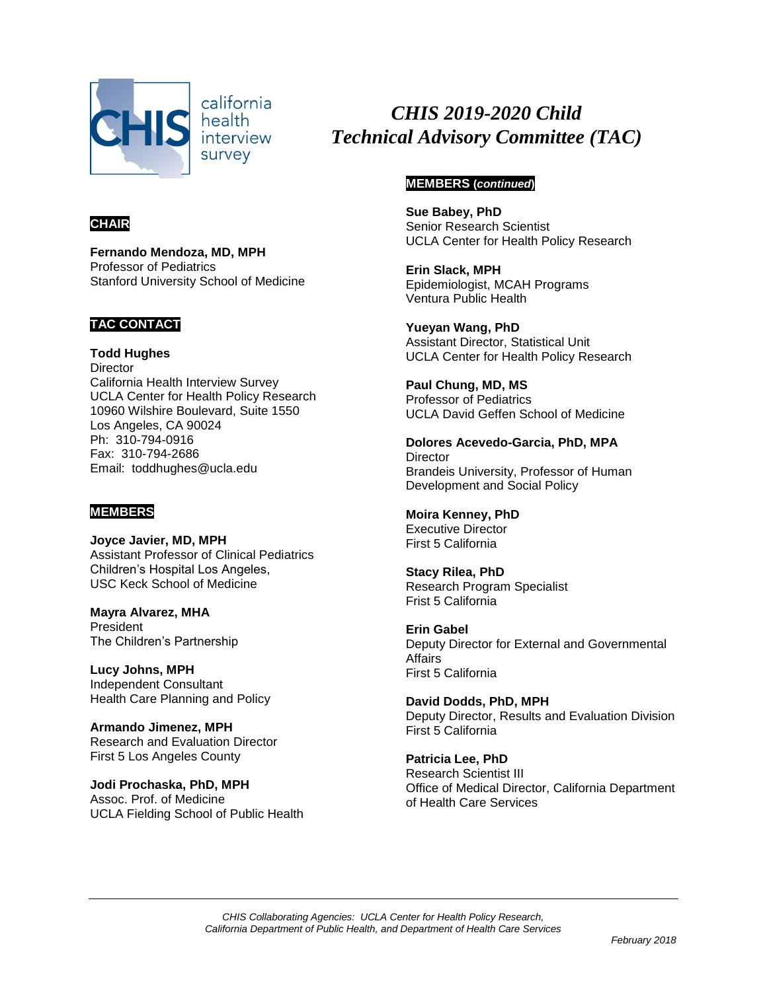

california health interview survey

# **CHAIR**

**Fernando Mendoza, MD, MPH** Professor of Pediatrics Stanford University School of Medicine

# **TAC CONTACT**

**Todd Hughes Director** California Health Interview Survey UCLA Center for Health Policy Research 10960 Wilshire Boulevard, Suite 1550 Los Angeles, CA 90024 Ph: 310-794-0916 Fax: 310-794-2686 Email: toddhughes@ucla.edu

# **MEMBERS**

**Joyce Javier, MD, MPH** Assistant Professor of Clinical Pediatrics Children's Hospital Los Angeles, USC Keck School of Medicine

**Mayra Alvarez, MHA** President The Children's Partnership

**Lucy Johns, MPH** Independent Consultant Health Care Planning and Policy

**Armando Jimenez, MPH** Research and Evaluation Director First 5 Los Angeles County

**Jodi Prochaska, PhD, MPH** Assoc. Prof. of Medicine UCLA Fielding School of Public Health

# *CHIS 2019-2020 Child Technical Advisory Committee (TAC)*

# **MEMBERS (***continued***)**

**Sue Babey, PhD** Senior Research Scientist UCLA Center for Health Policy Research

**Erin Slack, MPH** Epidemiologist, MCAH Programs Ventura Public Health

**Yueyan Wang, PhD** Assistant Director, Statistical Unit UCLA Center for Health Policy Research

**Paul Chung, MD, MS** Professor of Pediatrics UCLA David Geffen School of Medicine

**Dolores Acevedo-Garcia, PhD, MPA Director** Brandeis University, Professor of Human Development and Social Policy

**Moira Kenney, PhD** Executive Director First 5 California

**Stacy Rilea, PhD** Research Program Specialist Frist 5 California

**Erin Gabel** Deputy Director for External and Governmental Affairs First 5 California

**David Dodds, PhD, MPH** Deputy Director, Results and Evaluation Division First 5 California

**Patricia Lee, PhD** Research Scientist III Office of Medical Director, California Department of Health Care Services